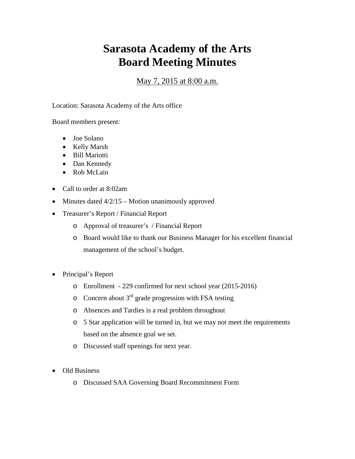## **Sarasota Academy of the Arts Board Meeting Minutes**

## May 7, 2015 at 8:00 a.m.

Location: Sarasota Academy of the Arts office

Board members present:

- Joe Solano
- Kelly Marsh
- Bill Mariotti
- Dan Kennedy
- Rob McLain
- Call to order at 8:02am
- Minutes dated  $4/2/15$  Motion unanimously approved
- Treasurer's Report / Financial Report
	- o Approval of treasurer's / Financial Report
	- o Board would like to thank our Business Manager for his excellent financial management of the school's budget.
- Principal's Report
	- o Enrollment 229 confirmed for next school year (2015-2016)
	- $\circ$  Concern about 3<sup>rd</sup> grade progression with FSA testing
	- o Absences and Tardies is a real problem throughout
	- o 5 Star application will be turned in, but we may not meet the requirements based on the absence goal we set.
	- o Discussed staff openings for next year.
- Old Business
	- o Discussed SAA Governing Board Recommitment Form